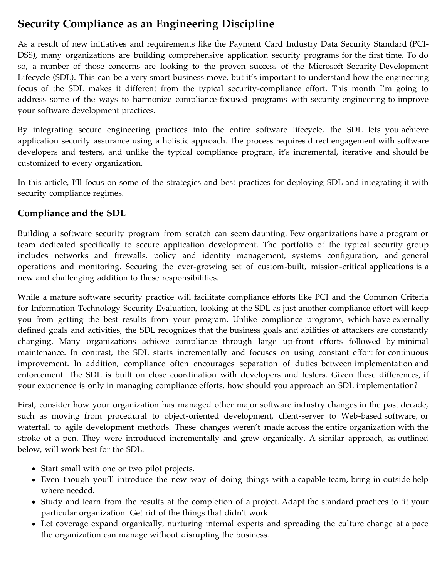# **Security Compliance as an Engineering Discipline**

As a result of new initiatives and requirements like the Payment Card Industry Data Security Standard (PCI-DSS), many organizations are building comprehensive application security programs for the first time. To do so, a number of those concerns are looking to the proven success of the Microsoft Security Development Lifecycle (SDL). This can be a very smart business move, but it's important to understand how the engineering focus of the SDL makes it different from the typical security-compliance effort. This month I'm going to address some of the ways to harmonize compliance-focused programs with security engineering to improve your software development practices.

By integrating secure engineering practices into the entire software lifecycle, the SDL lets you achieve application security assurance using a holistic approach. The process requires direct engagement with software developers and testers, and unlike the typical compliance program, it's incremental, iterative and should be customized to every organization.

In this article, I'll focus on some of the strategies and best practices for deploying SDL and integrating it with security compliance regimes.

### **Compliance and the SDL**

Building a software security program from scratch can seem daunting. Few organizations have a program or team dedicated specifically to secure application development. The portfolio of the typical security group includes networks and firewalls, policy and identity management, systems configuration, and general operations and monitoring. Securing the ever-growing set of custom-built, mission-critical applications is a new and challenging addition to these responsibilities.

While a mature software security practice will facilitate compliance efforts like PCI and the Common Criteria for Information Technology Security Evaluation, looking at the SDL as just another compliance effort will keep you from getting the best results from your program. Unlike compliance programs, which have externally defined goals and activities, the SDL recognizes that the business goals and abilities of attackers are constantly changing. Many organizations achieve compliance through large up-front efforts followed by minimal maintenance. In contrast, the SDL starts incrementally and focuses on using constant effort for continuous improvement. In addition, compliance often encourages separation of duties between implementation and enforcement. The SDL is built on close coordination with developers and testers. Given these differences, if your experience is only in managing compliance efforts, how should you approach an SDL implementation?

First, consider how your organization has managed other major software industry changes in the past decade, such as moving from procedural to object-oriented development, client-server to Web-based software, or waterfall to agile development methods. These changes weren't made across the entire organization with the stroke of a pen. They were introduced incrementally and grew organically. A similar approach, as outlined below, will work best for the SDL.

- Start small with one or two pilot projects.
- Even though you'll introduce the new way of doing things with a capable team, bring in outside help where needed.
- Study and learn from the results at the completion of a project. Adapt the standard practices to fit your particular organization. Get rid of the things that didn't work.
- Let coverage expand organically, nurturing internal experts and spreading the culture change at a pace the organization can manage without disrupting the business.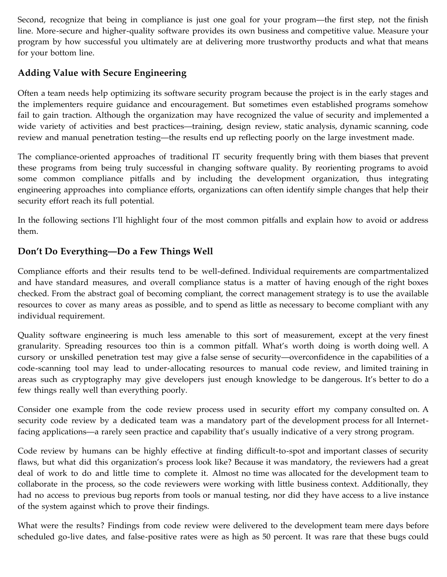Second, recognize that being in compliance is just one goal for your program—the first step, not the finish line. More-secure and higher-quality software provides its own business and competitive value. Measure your program by how successful you ultimately are at delivering more trustworthy products and what that means for your bottom line.

# **Adding Value with Secure Engineering**

Often a team needs help optimizing its software security program because the project is in the early stages and the implementers require guidance and encouragement. But sometimes even established programs somehow fail to gain traction. Although the organization may have recognized the value of security and implemented a wide variety of activities and best practices—training, design review, static analysis, dynamic scanning, code review and manual penetration testing—the results end up reflecting poorly on the large investment made.

The compliance-oriented approaches of traditional IT security frequently bring with them biases that prevent these programs from being truly successful in changing software quality. By reorienting programs to avoid some common compliance pitfalls and by including the development organization, thus integrating engineering approaches into compliance efforts, organizations can often identify simple changes that help their security effort reach its full potential.

In the following sections I'll highlight four of the most common pitfalls and explain how to avoid or address them.

# **Don't Do Everything—Do a Few Things Well**

Compliance efforts and their results tend to be well-defined. Individual requirements are compartmentalized and have standard measures, and overall compliance status is a matter of having enough of the right boxes checked. From the abstract goal of becoming compliant, the correct management strategy is to use the available resources to cover as many areas as possible, and to spend as little as necessary to become compliant with any individual requirement.

Quality software engineering is much less amenable to this sort of measurement, except at the very finest granularity. Spreading resources too thin is a common pitfall. What's worth doing is worth doing well. A cursory or unskilled penetration test may give a false sense of security—overconfidence in the capabilities of a code-scanning tool may lead to under-allocating resources to manual code review, and limited training in areas such as cryptography may give developers just enough knowledge to be dangerous. It's better to do a few things really well than everything poorly.

Consider one example from the code review process used in security effort my company consulted on. A security code review by a dedicated team was a mandatory part of the development process for all Internetfacing applications—a rarely seen practice and capability that's usually indicative of a very strong program.

Code review by humans can be highly effective at finding difficult-to-spot and important classes of security flaws, but what did this organization's process look like? Because it was mandatory, the reviewers had a great deal of work to do and little time to complete it. Almost no time was allocated for the development team to collaborate in the process, so the code reviewers were working with little business context. Additionally, they had no access to previous bug reports from tools or manual testing, nor did they have access to a live instance of the system against which to prove their findings.

What were the results? Findings from code review were delivered to the development team mere days before scheduled go-live dates, and false-positive rates were as high as 50 percent. It was rare that these bugs could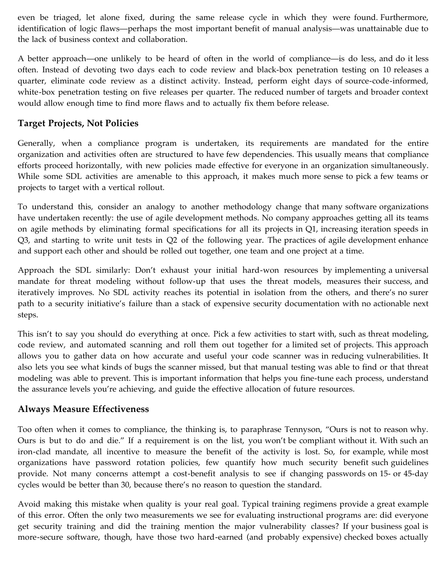even be triaged, let alone fixed, during the same release cycle in which they were found. Furthermore, identification of logic flaws—perhaps the most important benefit of manual analysis—was unattainable due to the lack of business context and collaboration.

A better approach—one unlikely to be heard of often in the world of compliance—is do less, and do it less often. Instead of devoting two days each to code review and black-box penetration testing on 10 releases a quarter, eliminate code review as a distinct activity. Instead, perform eight days of source-code-informed, white-box penetration testing on five releases per quarter. The reduced number of targets and broader context would allow enough time to find more flaws and to actually fix them before release.

#### **Target Projects, Not Policies**

Generally, when a compliance program is undertaken, its requirements are mandated for the entire organization and activities often are structured to have few dependencies. This usually means that compliance efforts proceed horizontally, with new policies made effective for everyone in an organization simultaneously. While some SDL activities are amenable to this approach, it makes much more sense to pick a few teams or projects to target with a vertical rollout.

To understand this, consider an analogy to another methodology change that many software organizations have undertaken recently: the use of agile development methods. No company approaches getting all its teams on agile methods by eliminating formal specifications for all its projects in Q1, increasing iteration speeds in Q3, and starting to write unit tests in Q2 of the following year. The practices of agile development enhance and support each other and should be rolled out together, one team and one project at a time.

Approach the SDL similarly: Don't exhaust your initial hard-won resources by implementing a universal mandate for threat modeling without follow-up that uses the threat models, measures their success, and iteratively improves. No SDL activity reaches its potential in isolation from the others, and there's no surer path to a security initiative's failure than a stack of expensive security documentation with no actionable next steps.

This isn't to say you should do everything at once. Pick a few activities to start with, such as threat modeling, code review, and automated scanning and roll them out together for a limited set of projects. This approach allows you to gather data on how accurate and useful your code scanner was in reducing vulnerabilities. It also lets you see what kinds of bugs the scanner missed, but that manual testing was able to find or that threat modeling was able to prevent. This is important information that helps you fine-tune each process, understand the assurance levels you're achieving, and guide the effective allocation of future resources.

#### **Always Measure Effectiveness**

Too often when it comes to compliance, the thinking is, to paraphrase Tennyson, "Ours is not to reason why. Ours is but to do and die." If a requirement is on the list, you won't be compliant without it. With such an iron-clad mandate, all incentive to measure the benefit of the activity is lost. So, for example, while most organizations have password rotation policies, few quantify how much security benefit such guidelines provide. Not many concerns attempt a cost-benefit analysis to see if changing passwords on 15- or 45-day cycles would be better than 30, because there's no reason to question the standard.

Avoid making this mistake when quality is your real goal. Typical training regimens provide a great example of this error. Often the only two measurements we see for evaluating instructional programs are: did everyone get security training and did the training mention the major vulnerability classes? If your business goal is more-secure software, though, have those two hard-earned (and probably expensive) checked boxes actually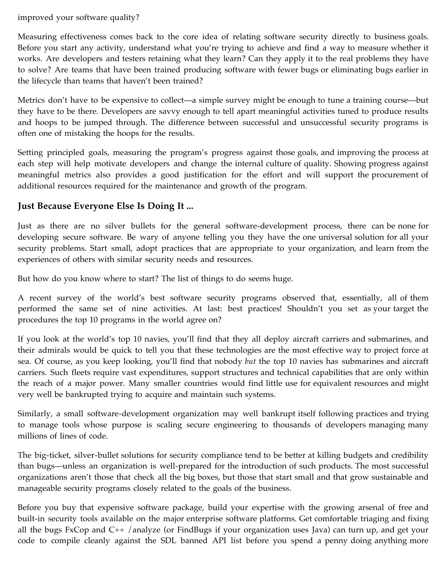improved your software quality?

Measuring effectiveness comes back to the core idea of relating software security directly to business goals. Before you start any activity, understand what you're trying to achieve and find a way to measure whether it works. Are developers and testers retaining what they learn? Can they apply it to the real problems they have to solve? Are teams that have been trained producing software with fewer bugs or eliminating bugs earlier in the lifecycle than teams that haven't been trained?

Metrics don't have to be expensive to collect—a simple survey might be enough to tune a training course—but they have to be there. Developers are savvy enough to tell apart meaningful activities tuned to produce results and hoops to be jumped through. The difference between successful and unsuccessful security programs is often one of mistaking the hoops for the results.

Setting principled goals, measuring the program's progress against those goals, and improving the process at each step will help motivate developers and change the internal culture of quality. Showing progress against meaningful metrics also provides a good justification for the effort and will support the procurement of additional resources required for the maintenance and growth of the program.

# **Just Because Everyone Else Is Doing It ...**

Just as there are no silver bullets for the general software-development process, there can be none for developing secure software. Be wary of anyone telling you they have the one universal solution for all your security problems. Start small, adopt practices that are appropriate to your organization, and learn from the experiences of others with similar security needs and resources.

But how do you know where to start? The list of things to do seems huge.

A recent survey of the world's best software security programs observed that, essentially, all of them performed the same set of nine activities. At last: best practices! Shouldn't you set as your target the procedures the top 10 programs in the world agree on?

If you look at the world's top 10 navies, you'll find that they all deploy aircraft carriers and submarines, and their admirals would be quick to tell you that these technologies are the most effective way to project force at sea. Of course, as you keep looking, you'll find that nobody *but* the top 10 navies has submarines and aircraft carriers. Such fleets require vast expenditures, support structures and technical capabilities that are only within the reach of a major power. Many smaller countries would find little use for equivalent resources and might very well be bankrupted trying to acquire and maintain such systems.

Similarly, a small software-development organization may well bankrupt itself following practices and trying to manage tools whose purpose is scaling secure engineering to thousands of developers managing many millions of lines of code.

The big-ticket, silver-bullet solutions for security compliance tend to be better at killing budgets and credibility than bugs—unless an organization is well-prepared for the introduction of such products. The most successful organizations aren't those that check all the big boxes, but those that start small and that grow sustainable and manageable security programs closely related to the goals of the business.

Before you buy that expensive software package, build your expertise with the growing arsenal of free and built-in security tools available on the major enterprise software platforms. Get comfortable triaging and fixing all the bugs FxCop and C++ /analyze (or FindBugs if your organization uses Java) can turn up, and get your code to compile cleanly against the SDL banned API list before you spend a penny doing anything more